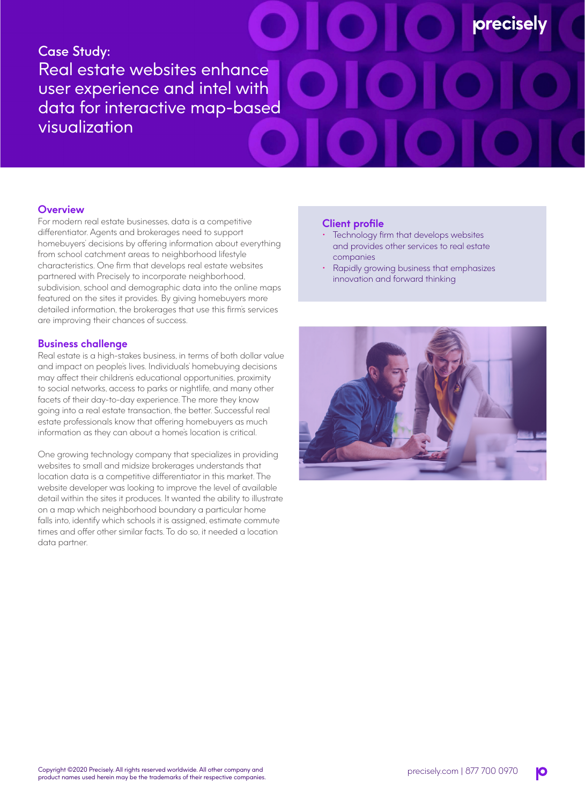# Case Study: Real estate websites enhance user experience and intel with data for interactive map-based visualization

## **Overview**

For modern real estate businesses, data is a competitive differentiator. Agents and brokerages need to support homebuyers' decisions by offering information about everything from school catchment areas to neighborhood lifestyle characteristics. One firm that develops real estate websites partnered with Precisely to incorporate neighborhood, subdivision, school and demographic data into the online maps featured on the sites it provides. By giving homebuyers more detailed information, the brokerages that use this firm's services are improving their chances of success.

### **Business challenge**

Real estate is a high-stakes business, in terms of both dollar value and impact on people's lives. Individuals' homebuying decisions may affect their children's educational opportunities, proximity to social networks, access to parks or nightlife, and many other facets of their day-to-day experience. The more they know going into a real estate transaction, the better. Successful real estate professionals know that offering homebuyers as much information as they can about a home's location is critical.

One growing technology company that specializes in providing websites to small and midsize brokerages understands that location data is a competitive differentiator in this market. The website developer was looking to improve the level of available detail within the sites it produces. It wanted the ability to illustrate on a map which neighborhood boundary a particular home falls into, identify which schools it is assigned, estimate commute times and offer other similar facts. To do so, it needed a location data partner.

#### **Client profile**

Technology firm that develops websites and provides other services to real estate companies

**precisely** 

• Rapidly growing business that emphasizes innovation and forward thinking